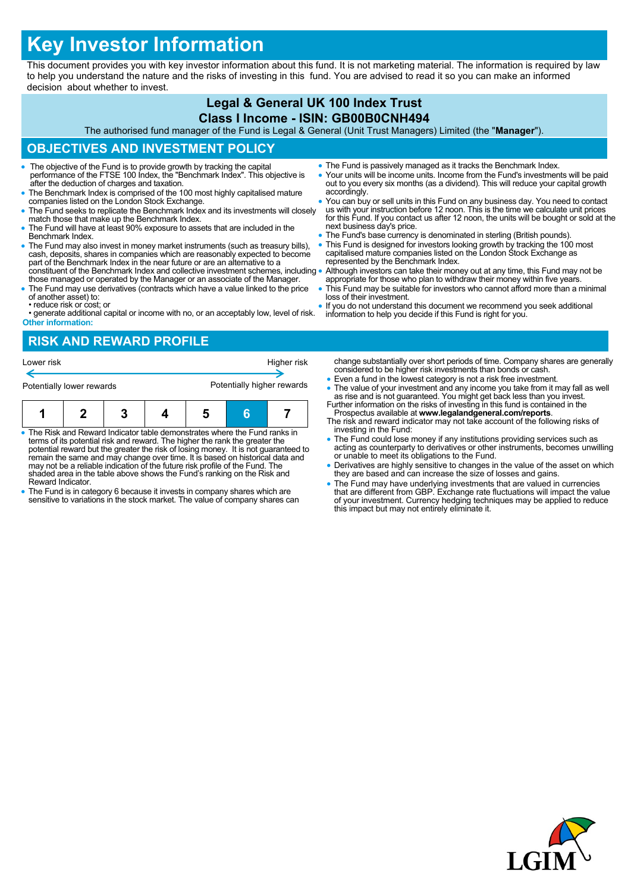# **Key Investor Information**

This document provides you with key investor information about this fund. It is not marketing material. The information is required by law to help you understand the nature and the risks of investing in this fund. You are advised to read it so you can make an informed decision about whether to invest.

### **Legal & General UK 100 Index Trust Class I Income - ISIN: GB00B0CNH494**

The authorised fund manager of the Fund is Legal & General (Unit Trust Managers) Limited (the "**Manager**").

## **OBJECTIVES AND INVESTMENT POLICY**

- The objective of the Fund is to provide growth by tracking the capital performance of the FTSE 100 Index, the "Benchmark Index". This objective is after the deduction of charges and taxation.
- The Benchmark Index is comprised of the 100 most highly capitalised mature companies listed on the London Stock Exchange.
- The Fund seeks to replicate the Benchmark Index and its investments will closely match those that make up the Benchmark Index.
- The Fund will have at least 90% exposure to assets that are included in the Benchmark Index.
- The Fund may also invest in money market instruments (such as treasury bills), cash, deposits, shares in companies which are reasonably expected to become part of the Benchmark Index in the near future or are an alternative to a constituent of the Benchmark Index and collective investment schemes, including
- those managed or operated by the Manager or an associate of the Manager. The Fund may use derivatives (contracts which have a value linked to the price
- of another asset) to: • reduce risk or cost; or
- generate additional capital or income with no, or an acceptably low, level of risk. **Other information:**

# **RISK AND REWARD PROFILE**

| Lower risk<br>Potentially lower rewards |  | Higher risk<br>Potentially higher rewards |  |  |  |  |
|-----------------------------------------|--|-------------------------------------------|--|--|--|--|
|                                         |  |                                           |  |  |  |  |

- The Risk and Reward Indicator table demonstrates where the Fund ranks in terms of its potential risk and reward. The higher the rank the greater the potential reward but the greater the risk of losing money. It is not guaranteed to remain the same and may change over time. It is based on historical data and may not be a reliable indication of the future risk profile of the Fund. The shaded area in the table above shows the Fund's ranking on the Risk and Reward Indicator.
- The Fund is in category 6 because it invests in company shares which are sensitive to variations in the stock market. The value of company shares can
- The Fund is passively managed as it tracks the Benchmark Index.
- Your units will be income units. Income from the Fund's investments will be paid out to you every six months (as a dividend). This will reduce your capital growth accordingly.
- You can buy or sell units in this Fund on any business day. You need to contact us with your instruction before 12 noon. This is the time we calculate unit prices for this Fund. If you contact us after 12 noon, the units will be bought or sold at the next business day's price.
- The Fund's base currency is denominated in sterling (British pounds).
- This Fund is designed for investors looking growth by tracking the 100 most capitalised mature companies listed on the London Stock Exchange as represented by the Benchmark Index.
- Although investors can take their money out at any time, this Fund may not be appropriate for those who plan to withdraw their money within five years.
- This Fund may be suitable for investors who cannot afford more than a minimal loss of their investment.
- If you do not understand this document we recommend you seek additional information to help you decide if this Fund is right for you.

change substantially over short periods of time. Company shares are generally considered to be higher risk investments than bonds or cash.

- Even a fund in the lowest category is not a risk free investment.
- The value of your investment and any income you take from it may fall as well as rise and is not guaranteed. You might get back less than you invest. Further information on the risks of investing in this fund is containe
- Prospectus available at **www.legalandgeneral.com/reports**. The risk and reward indicator may not take account of the following risks of investing in the Fund:
- The Fund could lose money if any institutions providing services such as acting as counterparty to derivatives or other instruments, becomes unwilling or unable to meet its obligations to the Fund.
- Derivatives are highly sensitive to changes in the value of the asset on which they are based and can increase the size of losses and gains.
- The Fund may have underlying investments that are valued in currencies<br>that are different from GBP. Exchange rate fluctuations will impact the value<br>of your investment. Currency hedging techniques may be applied to reduc